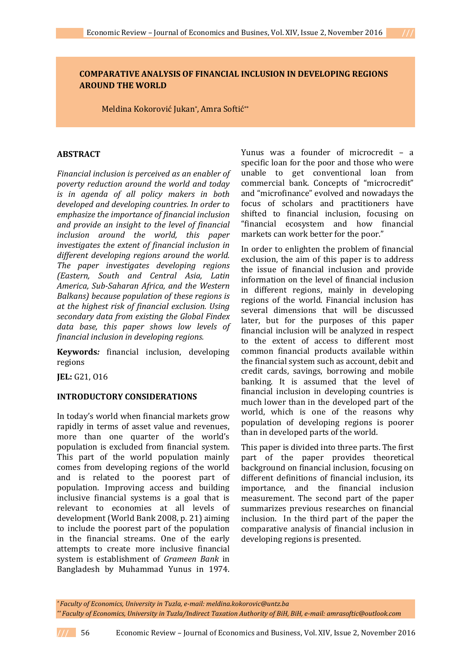# **COMPARATIVE ANALYSIS OF FINANCIAL INCLUSION IN DEVELOPING REGIONS AROUND THE WORLD**

Meldina Kokorović Jukan\* , Amra Softić\*\*

# **ABSTRACT**

*Financial inclusion is perceived as an enabler of poverty reduction around the world and today is in agenda of all policy makers in both developed and developing countries. In order to emphasize the importance of financial inclusion and provide an insight to the level of financial inclusion around the world, this paper investigates the extent of financial inclusion in different developing regions around the world. The paper investigates developing regions (Eastern, South and Central Asia, Latin America, Sub-Saharan Africa, and the Western Balkans) because population of these regions is at the highest risk of financial exclusion. Using secondary data from existing the Global Findex data base, this paper shows low levels of financial inclusion in developing regions.*

**Keywords***:* financial inclusion, developing regions

**JEL:** G21, O16

# **INTRODUCTORY CONSIDERATIONS**

In today's world when financial markets grow rapidly in terms of asset value and revenues, more than one quarter of the world's population is excluded from financial system. This part of the world population mainly comes from developing regions of the world and is related to the poorest part of population. Improving access and building inclusive financial systems is a goal that is relevant to economies at all levels of development (World Bank 2008, p. 21) aiming to include the poorest part of the population in the financial streams. One of the early attempts to create more inclusive financial system is establishment of *Grameen Bank* in Bangladesh by Muhammad Yunus in 1974.

Yunus was a founder of microcredit – a specific loan for the poor and those who were unable to get conventional loan from commercial bank. Concepts of "microcredit" and "microfinance" evolved and nowadays the focus of scholars and practitioners have shifted to financial inclusion, focusing on "financial ecosystem and how financial markets can work better for the poor."

In order to enlighten the problem of financial exclusion, the aim of this paper is to address the issue of financial inclusion and provide information on the level of financial inclusion in different regions, mainly in developing regions of the world. Financial inclusion has several dimensions that will be discussed later, but for the purposes of this paper financial inclusion will be analyzed in respect to the extent of access to different most common financial products available within the financial system such as account, debit and credit cards, savings, borrowing and mobile banking. It is assumed that the level of financial inclusion in developing countries is much lower than in the developed part of the world, which is one of the reasons why population of developing regions is poorer than in developed parts of the world.

This paper is divided into three parts. The first part of the paper provides theoretical background on financial inclusion, focusing on different definitions of financial inclusion, its importance, and the financial inclusion measurement. The second part of the paper summarizes previous researches on financial inclusion. In the third part of the paper the comparative analysis of financial inclusion in developing regions is presented.

*\* Faculty of Economics, University in Tuzla, e-mail[: meldina.kokorovic@untz.ba](mailto:meldina.kokorovic@untz.ba) \*\* Faculty of Economics, University in Tuzla/Indirect Taxation Authority of BiH, BiH, e-mail[: amrasoftic@outlook.com](mailto:amrasoftic@outlook.com)*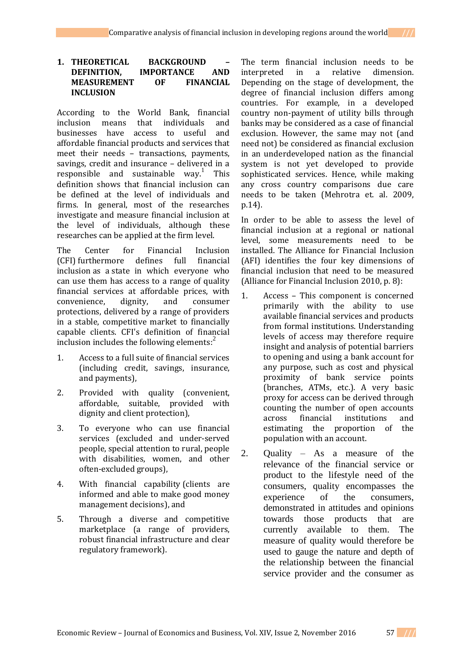# **1. THEORETICAL BACKGROUND – DEFINITION, IMPORTANCE AND MEASUREMENT OF INCLUSION**

According to the World Bank, financial inclusion means that individuals and businesses have access to useful and affordable financial products and services that meet their needs – transactions, payments, savings, credit and insurance – delivered in a responsible and sustainable way.<sup>1</sup> This definition shows that financial inclusion can be defined at the level of individuals and firms. In general, most of the researches investigate and measure financial inclusion at the level of individuals, although these researches can be applied at the firm level.

The Center for Financial Inclusion (CFI) furthermore defines full financial inclusion as a state in which everyone who can use them has access to a range of quality financial services at affordable prices, with convenience, dignity, and consumer protections, delivered by a range of providers in a stable, competitive market to financially capable clients. CFI's definition of financial inclusion includes the following elements:<sup>2</sup>

- 1. Access to a full suite of financial services (including credit, savings, insurance, and payments),
- 2. Provided with quality (convenient, affordable, suitable, provided with dignity and client protection),
- 3. To everyone who can use financial services (excluded and under-served people, special attention to rural, people with disabilities, women, and other often-excluded groups),
- 4. With financial capability (clients are informed and able to make good money management decisions), and
- 5. Through a diverse and competitive marketplace (a range of providers, robust financial infrastructure and clear regulatory framework).

The term financial inclusion needs to be interpreted in a relative dimension. Depending on the stage of development, the degree of financial inclusion differs among countries. For example, in a developed country non-payment of utility bills through banks may be considered as a case of financial exclusion. However, the same may not (and need not) be considered as financial exclusion in an underdeveloped nation as the financial system is not yet developed to provide sophisticated services. Hence, while making any cross country comparisons due care needs to be taken (Mehrotra et. al. 2009, p.14).

In order to be able to assess the level of financial inclusion at a regional or national level, some measurements need to be installed. The Alliance for Financial Inclusion (AFI) identifies the four key dimensions of financial inclusion that need to be measured (Alliance for Financial Inclusion 2010, p. 8):

- 1. Access This component is concerned primarily with the ability to use available financial services and products from formal institutions. Understanding levels of access may therefore require insight and analysis of potential barriers to opening and using a bank account for any purpose, such as cost and physical proximity of bank service points (branches, ATMs, etc.). A very basic proxy for access can be derived through counting the number of open accounts across financial institutions and estimating the proportion of the population with an account.
- 2. Quality As a measure of the relevance of the financial service or product to the lifestyle need of the consumers, quality encompasses the experience of the consumers, demonstrated in attitudes and opinions towards those products that are currently available to them. The measure of quality would therefore be used to gauge the nature and depth of the relationship between the financial service provider and the consumer as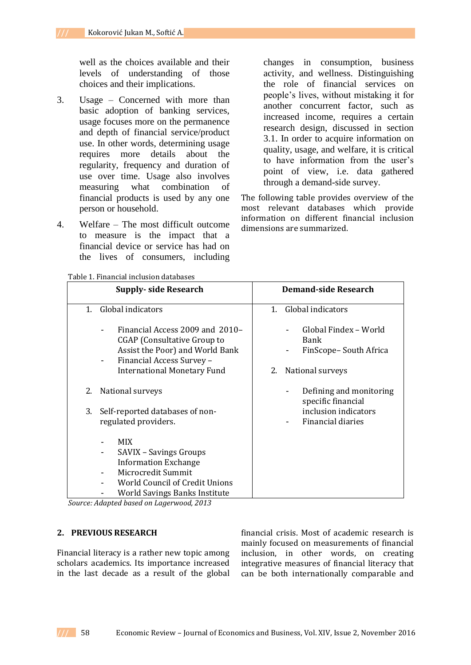well as the choices available and their levels of understanding of those choices and their implications.

- 3. Usage Concerned with more than basic adoption of banking services, usage focuses more on the permanence and depth of financial service/product use. In other words, determining usage requires more details about the regularity, frequency and duration of use over time. Usage also involves measuring what combination of financial products is used by any one person or household.
- 4. Welfare The most difficult outcome to measure is the impact that a financial device or service has had on the lives of consumers, including

changes in consumption, business activity, and wellness. Distinguishing the role of financial services on people's lives, without mistaking it for another concurrent factor, such as increased income, requires a certain research design, discussed in section 3.1. In order to acquire information on quality, usage, and welfare, it is critical to have information from the user's point of view, i.e. data gathered through a demand-side survey.

The following table provides overview of the most relevant databases which provide information on different financial inclusion dimensions are summarized.

|    | <b>Supply-side Research</b>                                                                                                                                                         | <b>Demand-side Research</b>                            |
|----|-------------------------------------------------------------------------------------------------------------------------------------------------------------------------------------|--------------------------------------------------------|
| 1. | Global indicators                                                                                                                                                                   | 1. Global indicators                                   |
|    | Financial Access 2009 and 2010-<br>$\blacksquare$<br><b>CGAP</b> (Consultative Group to<br>Assist the Poor) and World Bank<br>Financial Access Survey -<br>$\overline{\phantom{a}}$ | Global Findex – World<br>Bank<br>FinScope-South Africa |
|    | <b>International Monetary Fund</b>                                                                                                                                                  | National surveys<br>2.                                 |
| 2. | National surveys                                                                                                                                                                    | Defining and monitoring<br>specific financial          |
| 3. | Self-reported databases of non-<br>regulated providers.                                                                                                                             | inclusion indicators<br>Financial diaries              |
|    | <b>MIX</b><br><b>SAVIX - Savings Groups</b><br>$\overline{\phantom{a}}$                                                                                                             |                                                        |
|    | <b>Information Exchange</b><br>Microcredit Summit<br>$\overline{\phantom{a}}$                                                                                                       |                                                        |
|    | <b>World Council of Credit Unions</b><br>World Savings Banks Institute<br>-                                                                                                         |                                                        |

*Source: Adapted based on Lagerwood, 2013*

# **2. PREVIOUS RESEARCH**

Financial literacy is a rather new topic among scholars academics. Its importance increased in the last decade as a result of the global financial crisis. Most of academic research is mainly focused on measurements of financial inclusion, in other words, on creating integrative measures of financial literacy that can be both internationally comparable and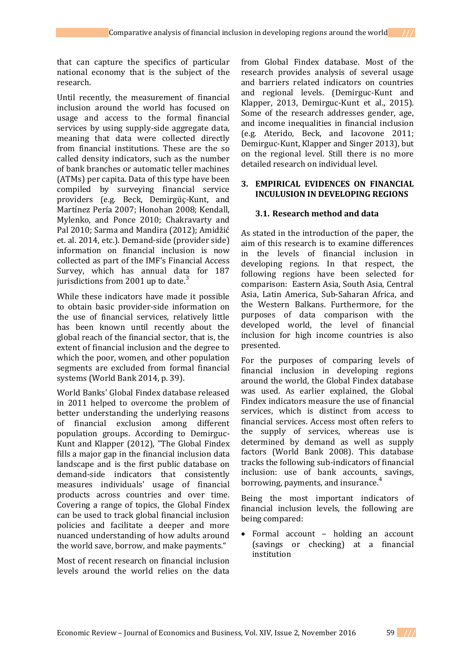that can capture the specifics of particular national economy that is the subject of the research.

Until recently, the measurement of financial inclusion around the world has focused on usage and access to the formal financial services by using supply-side aggregate data, meaning that data were collected directly from financial institutions. These are the so called density indicators, such as the number of bank branches or automatic teller machines (ATMs) per capita. Data of this type have been compiled by surveying financial service providers (e.g. Beck, Demirgüç-Kunt, and Martínez Pería 2007; Honohan 2008; Kendall, Mylenko, and Ponce 2010; Chakravarty and Pal 2010; Sarma and Mandira (2012); Amidžić et. al. 2014, etc.). Demand-side (provider side) information on financial inclusion is now collected as part of the IMF's Financial Access Survey, which has annual data for 187 jurisdictions from 2001 up to date. $\frac{3}{2}$ 

While these indicators have made it possible to obtain basic provider-side information on the use of financial services, relatively little has been known until recently about the global reach of the financial sector, that is, the extent of financial inclusion and the degree to which the poor, women, and other population segments are excluded from formal financial systems (World Bank 2014, p. 39).

World Banks' Global Findex database released in 2011 helped to overcome the problem of better understanding the underlying reasons of financial exclusion among different population groups. According to Demirguc-Kunt and Klapper (2012), "The Global Findex fills a major gap in the financial inclusion data landscape and is the first public database on demand-side indicators that consistently measures individuals' usage of financial products across countries and over time. Covering a range of topics, the Global Findex can be used to track global financial inclusion policies and facilitate a deeper and more nuanced understanding of how adults around the world save, borrow, and make payments."

Most of recent research on financial inclusion levels around the world relies on the data

from Global Findex database. Most of the research provides analysis of several usage and barriers related indicators on countries and regional levels. (Demirguc-Kunt and Klapper, 2013, Demirguc-Kunt et al., 2015). Some of the research addresses gender, age, and income inequalities in financial inclusion (e.g. Aterido, Beck, and Iacovone 2011; Demirguc-Kunt, Klapper and Singer 2013), but on the regional level. Still there is no more detailed research on individual level.

#### **3. EMPIRICAL EVIDENCES ON FINANCIAL INCULUSION IN DEVELOPING REGIONS**

# **3.1. Research method and data**

As stated in the introduction of the paper, the aim of this research is to examine differences in the levels of financial inclusion in developing regions. In that respect, the following regions have been selected for comparison: Eastern Asia, South Asia, Central Asia, Latin America, Sub-Saharan Africa, and the Western Balkans. Furthermore, for the purposes of data comparison with the developed world, the level of financial inclusion for high income countries is also presented.

For the purposes of comparing levels of financial inclusion in developing regions around the world, the Global Findex database was used. As earlier explained, the Global Findex indicators measure the use of financial services, which is distinct from access to financial services. Access most often refers to the supply of services, whereas use is determined by demand as well as supply factors (World Bank 2008). This database tracks the following sub-indicators of financial inclusion: use of bank accounts, savings, borrowing, payments, and insurance.<sup>4</sup>

Being the most important indicators of financial inclusion levels, the following are being compared:

• Formal account – holding an account (savings or checking) at a financial institution

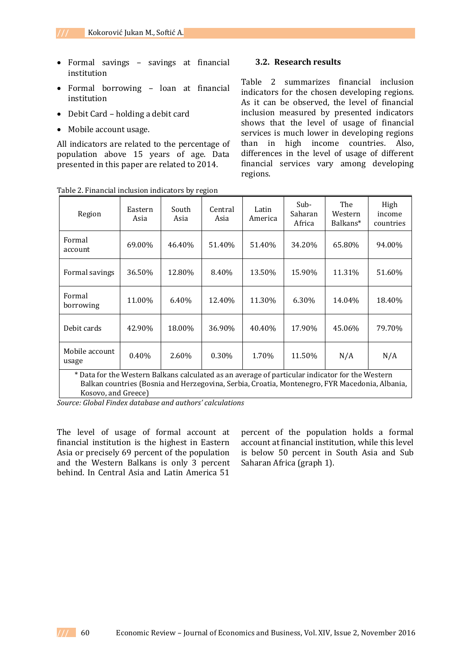- Formal savings savings at financial institution
- Formal borrowing loan at financial institution
- Debit Card holding a debit card
- Mobile account usage.

All indicators are related to the percentage of population above 15 years of age. Data presented in this paper are related to 2014.

#### **3.2. Research results**

Table 2 summarizes financial inclusion indicators for the chosen developing regions. As it can be observed, the level of financial inclusion measured by presented indicators shows that the level of usage of financial services is much lower in developing regions than in high income countries. Also, differences in the level of usage of different financial services vary among developing regions.

| Region                                                                                                | Eastern<br>Asia | South<br>Asia | Central<br>Asia | Latin<br>America | Sub-<br>Saharan<br>Africa | The<br>Western<br>Balkans <sup>*</sup> | High<br>income<br>countries |  |
|-------------------------------------------------------------------------------------------------------|-----------------|---------------|-----------------|------------------|---------------------------|----------------------------------------|-----------------------------|--|
| Formal<br>account                                                                                     | 69.00%          | 46.40%        | 51.40%          | 51.40%           | 34.20%                    | 65.80%                                 | 94.00%                      |  |
| Formal savings                                                                                        | 36.50%          | 12.80%        | 8.40%           | 13.50%           | 15.90%                    | 11.31%                                 | 51.60%                      |  |
| Formal<br>borrowing                                                                                   | 11.00%          | 6.40%         | 12.40%          | 11.30%           | 6.30%                     | 14.04%                                 | 18.40%                      |  |
| Debit cards                                                                                           | 42.90%          | 18.00%        | 36.90%          | 40.40%           | 17.90%                    | 45.06%                                 | 79.70%                      |  |
| Mobile account<br>usage                                                                               | 0.40%           | 2.60%         | 0.30%           | 1.70%            | 11.50%                    | N/A                                    | N/A                         |  |
| $*$ Data for the Western Balkans calculated as an average of particular indicator for the Western $*$ |                 |               |                 |                  |                           |                                        |                             |  |

Table 2. Financial inclusion indicators by region

Data for the Western Balkans calculated as an average of particular indicator for the Western Balkan countries (Bosnia and Herzegovina, Serbia, Croatia, Montenegro, FYR Macedonia, Albania, Kosovo, and Greece)

*Source: Global Findex database and authors' calculations* 

The level of usage of formal account at financial institution is the highest in Eastern Asia or precisely 69 percent of the population and the Western Balkans is only 3 percent behind. In Central Asia and Latin America 51

percent of the population holds a formal account at financial institution, while this level is below 50 percent in South Asia and Sub Saharan Africa (graph 1).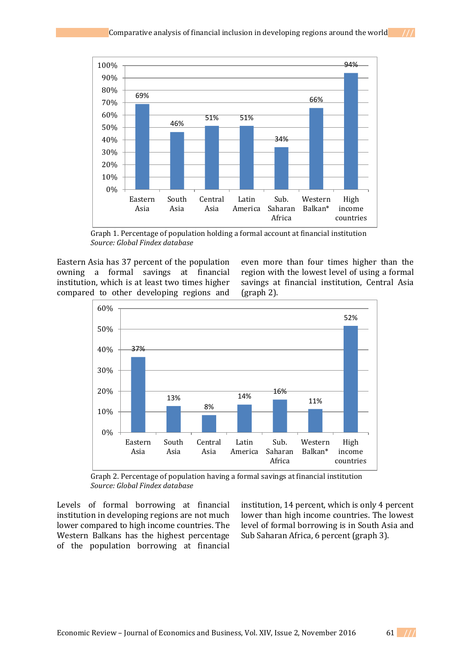

Graph 1. Percentage of population holding a formal account at financial institution *Source: Global Findex database*

Eastern Asia has 37 percent of the population owning a formal savings at financial institution, which is at least two times higher compared to other developing regions and

even more than four times higher than the region with the lowest level of using a formal savings at financial institution, Central Asia (graph 2).



Graph 2. Percentage of population having a formal savings at financial institution *Source: Global Findex database*

Levels of formal borrowing at financial institution in developing regions are not much lower compared to high income countries. The Western Balkans has the highest percentage of the population borrowing at financial

institution, 14 percent, which is only 4 percent lower than high income countries. The lowest level of formal borrowing is in South Asia and Sub Saharan Africa, 6 percent (graph 3).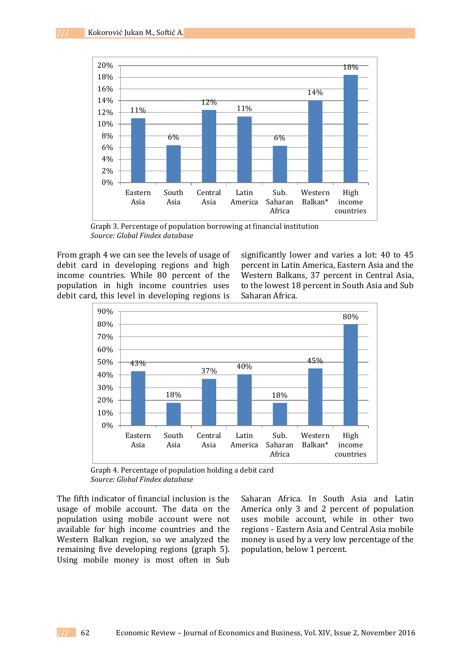

Graph 3. Percentage of population borrowing at financial institution *Source: Global Findex database*

From graph 4 we can see the levels of usage of debit card in developing regions and high income countries. While 80 percent of the population in high income countries uses debit card, this level in developing regions is

significantly lower and varies a lot: 40 to 45 percent in Latin America, Eastern Asia and the Western Balkans, 37 percent in Central Asia, to the lowest 18 percent in South Asia and Sub Saharan Africa.



Graph 4. Percentage of population holding a debit card *Source: Global Findex database*

The fifth indicator of financial inclusion is the usage of mobile account. The data on the population using mobile account were not available for high income countries and the Western Balkan region, so we analyzed the remaining five developing regions (graph 5). Using mobile money is most often in Sub

Saharan Africa. In South Asia and Latin America only 3 and 2 percent of population uses mobile account, while in other two regions - Eastern Asia and Central Asia mobile money is used by a very low percentage of the population, below 1 percent.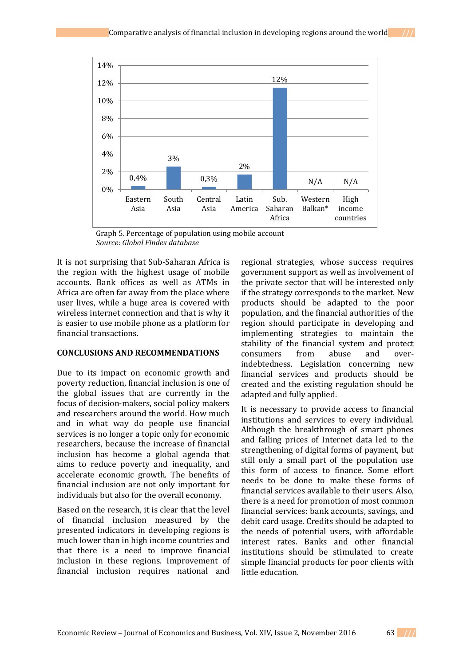

Graph 5. Percentage of population using mobile account *Source: Global Findex database*

It is not surprising that Sub-Saharan Africa is the region with the highest usage of mobile accounts. Bank offices as well as ATMs in Africa are often far away from the place where user lives, while a huge area is covered with wireless internet connection and that is why it is easier to use mobile phone as a platform for financial transactions.

# **CONCLUSIONS AND RECOMMENDATIONS**

Due to its impact on economic growth and poverty reduction, financial inclusion is one of the global issues that are currently in the focus of decision-makers, social policy makers and researchers around the world. How much and in what way do people use financial services is no longer a topic only for economic researchers, because the increase of financial inclusion has become a global agenda that aims to reduce poverty and inequality, and accelerate economic growth. The benefits of financial inclusion are not only important for individuals but also for the overall economy.

Based on the research, it is clear that the level of financial inclusion measured by the presented indicators in developing regions is much lower than in high income countries and that there is a need to improve financial inclusion in these regions. Improvement of financial inclusion requires national and

regional strategies, whose success requires government support as well as involvement of the private sector that will be interested only if the strategy corresponds to the market. New products should be adapted to the poor population, and the financial authorities of the region should participate in developing and implementing strategies to maintain the stability of the financial system and protect consumers from abuse and overindebtedness. Legislation concerning new financial services and products should be created and the existing regulation should be adapted and fully applied.

It is necessary to provide access to financial institutions and services to every individual. Although the breakthrough of smart phones and falling prices of Internet data led to the strengthening of digital forms of payment, but still only a small part of the population use this form of access to finance. Some effort needs to be done to make these forms of financial services available to their users. Also, there is a need for promotion of most common financial services: bank accounts, savings, and debit card usage. Credits should be adapted to the needs of potential users, with affordable interest rates. Banks and other financial institutions should be stimulated to create simple financial products for poor clients with little education.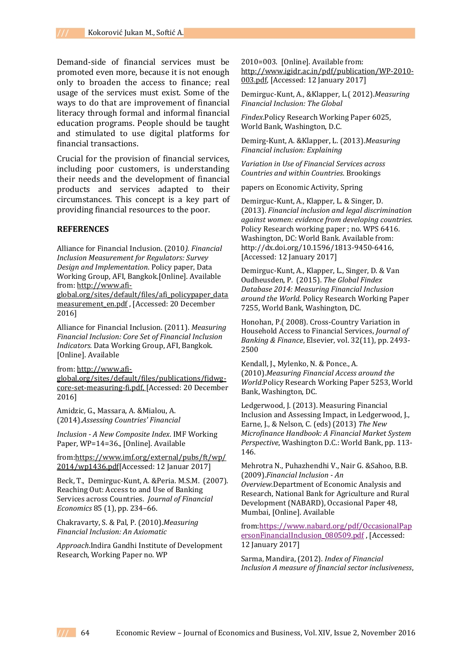Demand-side of financial services must be promoted even more, because it is not enough only to broaden the access to finance; real usage of the services must exist. Some of the ways to do that are improvement of financial literacy through formal and informal financial education programs. People should be taught and stimulated to use digital platforms for financial transactions.

Crucial for the provision of financial services, including poor customers, is understanding their needs and the development of financial products and services adapted to their circumstances. This concept is a key part of providing financial resources to the poor.

#### **REFERENCES**

Alliance for Financial Inclusion. (2010*). Financial Inclusion Measurement for Regulators: Survey Design and Implementation*. Policy paper, Data Working Group, AFI, Bangkok.[Online]. Available from[: http://www.afi-](http://www.afi-global.org/sites/default/files/afi_policypaper_datameasurement_en.pdf)

[global.org/sites/default/files/afi\\_policypaper\\_data](http://www.afi-global.org/sites/default/files/afi_policypaper_datameasurement_en.pdf) [measurement\\_en.pdf](http://www.afi-global.org/sites/default/files/afi_policypaper_datameasurement_en.pdf), [Accessed: 20 December 2016]

Alliance for Financial Inclusion. (2011). *Measuring Financial Inclusion: Core Set of Financial Inclusion Indicators.* Data Working Group, AFI, Bangkok. [Online]. Available

from[: http://www.afi-](http://www.afi-global.org/sites/default/files/publications/fidwg-core-set-measuring-fi.pdf)

[global.org/sites/default/files/publications/fidwg](http://www.afi-global.org/sites/default/files/publications/fidwg-core-set-measuring-fi.pdf)[core-set-measuring-fi.pdf,](http://www.afi-global.org/sites/default/files/publications/fidwg-core-set-measuring-fi.pdf) [Accessed: 20 December 2016]

Amidzic, G., Massara, A. &Mialou, A. (2014).*Assessing Countries' Financial*

*Inclusion - A New Composite Index*. IMF Working Paper, WP=14=36., [Online]. Available

from[:https://www.imf.org/external/pubs/ft/wp/](https://www.imf.org/external/pubs/ft/wp/2014/wp1436.pdf) [2014/wp1436.pdf\[](https://www.imf.org/external/pubs/ft/wp/2014/wp1436.pdf)Accessed: 12 Januar 2017]

Beck, T., Demirguc-Kunt, A. &Peria. M.S.M. (2007). Reaching Out: Access to and Use of Banking Services across Countries. *Journal of Financial Economics* 85 (1), pp. 234–66.

Chakravarty, S. & Pal, P. (2010).*Measuring Financial Inclusion: An Axiomatic*

*Approach*.Indira Gandhi Institute of Development Research, Working Paper no. WP

2010=003. [Online]. Available from: [http://www.igidr.ac.in/pdf/publication/WP-2010-](http://www.igidr.ac.in/pdf/publication/WP-2010-003.pdf) [003.pdf,](http://www.igidr.ac.in/pdf/publication/WP-2010-003.pdf) [Accessed: 12 January 2017]

Demirguc-Kunt, A., &Klapper, L.( 2012).*Measuring Financial Inclusion: The Global*

*Findex*.Policy Research Working Paper 6025, World Bank, Washington, D.C.

Demirg-Kunt, A. &Klapper, L. (2013).*Measuring Financial inclusion: Explaining*

*Variation in Use of Financial Services across Countries and within Countries*. Brookings

papers on Economic Activity, Spring

Demirguc-Kunt, A., Klapper, L. & Singer, D. (2013). *Financial inclusion and legal discrimination against women: evidence from developing countries*. Policy Research working paper ; no. WPS 6416. Washington, DC: World Bank. Available from: [http://dx.doi.org/10.1596/1813-9450-6416,](http://dx.doi.org/10.1596/1813-9450-6416)  [Accessed: 12 January 2017]

Demirguc-Kunt, A., Klapper, L., Singer, D. & Van Oudheusden, P. (2015). *The Global Findex Database 2014: Measuring Financial Inclusion around the World*. Policy Research Working Paper 7255, World Bank, Washington, DC.

Honohan, P.( 2008). Cross-Country Variation in Household Access to Financial Services, *Journal of Banking & Finance*, Elsevier, vol. 32(11), pp. 2493- 2500

Kendall, J., Mylenko, N. & Ponce., A. (2010).*Measuring Financial Access around the World*.Policy Research Working Paper 5253, World Bank, Washington, DC.

Ledgerwood, J. (2013). Measuring Financial Inclusion and Assessing Impact, in Ledgerwood, J., Earne, J., & Nelson, C. (eds) (2013) *The New Microfinance Handbook: A Financial Market System Perspective*, Washington D.C.: World Bank, pp. 113- 146.

Mehrotra N., Puhazhendhi V., Nair G. &Sahoo, B.B. (2009).*Financial Inclusion - An Overview*.Department of Economic Analysis and Research, National Bank for Agriculture and Rural

Development (NABARD), Occasional Paper 48, Mumbai, [Online]. Available

from:https://www.nabard.org/pdf/OccasionalPap ersonFinancialInclusion\_080509.pdf , [Accessed: 12 January 2017]

Sarma, Mandira, (2012). *Index of Financial Inclusion A measure of financial sector inclusiveness*,